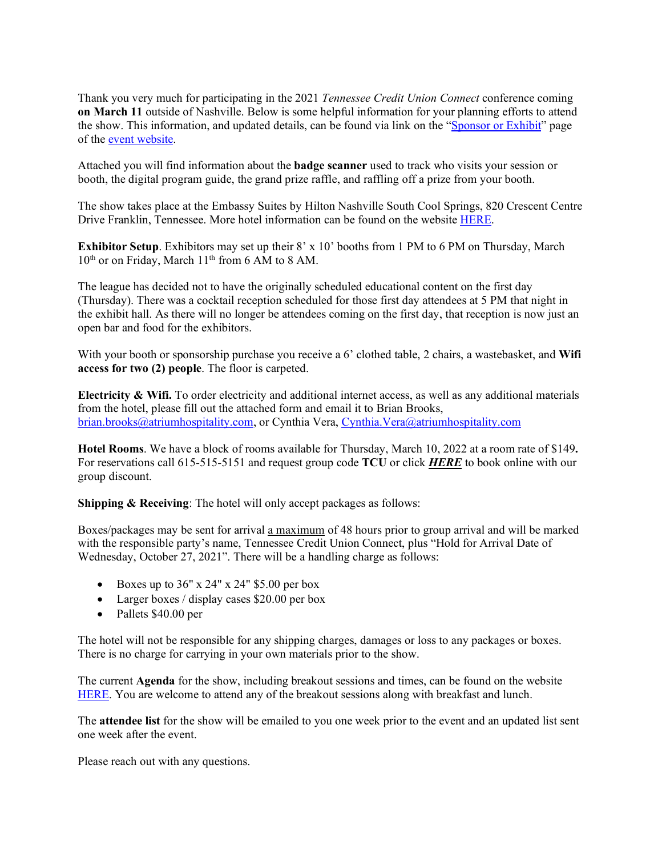Thank you very much for participating in the 2021 *Tennessee Credit Union Connect* conference coming **on March 11** outside of Nashville. Below is some helpful information for your planning efforts to attend the show. This information, and updated details, can be found via link on the ["Sponsor or Exhibit"](https://www.csuite-events.com/tennessee-2021-sponsorship-exhibiting-opps/) page of the [event website.](https://www.csuite-events.com/tennessee-home-page/) 

Attached you will find information about the **badge scanner** used to track who visits your session or booth, the digital program guide, the grand prize raffle, and raffling off a prize from your booth.

The show takes place at the Embassy Suites by Hilton Nashville South Cool Springs, 820 Crescent Centre Drive Franklin, Tennessee. More hotel information can be found on the websit[e HERE.](https://www.csuite-events.com/tennessee-hotel-info/)

**Exhibitor Setup**. Exhibitors may set up their 8' x 10' booths from 1 PM to 6 PM on Thursday, March 10<sup>th</sup> or on Friday, March 11<sup>th</sup> from 6 AM to 8 AM.

The league has decided not to have the originally scheduled educational content on the first day (Thursday). There was a cocktail reception scheduled for those first day attendees at 5 PM that night in the exhibit hall. As there will no longer be attendees coming on the first day, that reception is now just an open bar and food for the exhibitors.

With your booth or sponsorship purchase you receive a 6' clothed table, 2 chairs, a wastebasket, and **Wifi access for two (2) people**. The floor is carpeted.

**Electricity & Wifi.** To order electricity and additional internet access, as well as any additional materials from the hotel, please fill out the attached form and email it to Brian Brooks, [brian.brooks@atriumhospitality.com,](mailto:brian.brooks@atriumhospitality.com) or Cynthia Vera, [Cynthia.Vera@atriumhospitality.com](mailto:Cynthia.Vera@atriumhospitality.com)

**Hotel Rooms**. We have a block of rooms available for Thursday, March 10, 2022 at a room rate of \$149**.** For reservations call 615-515-5151 and request group code **TCU** or click *[HERE](https://www.hilton.com/en/book/reservation/deeplink/?&ctyhocn=BNAFLES&groupCode=CESTCU&arrival=20211027&departure=20211028&cid=OM,WW,HILTONLINK,en,DirectLink&fromId=HILTONLINKDIRECT)* to book online with our group discount.

**Shipping & Receiving**: The hotel will only accept packages as follows:

Boxes/packages may be sent for arrival a maximum of 48 hours prior to group arrival and will be marked with the responsible party's name, Tennessee Credit Union Connect, plus "Hold for Arrival Date of Wednesday, October 27, 2021". There will be a handling charge as follows:

- Boxes up to  $36''$  x  $24''$  x  $24''$  \$5.00 per box
- Larger boxes / display cases \$20.00 per box
- Pallets \$40.00 per

The hotel will not be responsible for any shipping charges, damages or loss to any packages or boxes. There is no charge for carrying in your own materials prior to the show.

The current **Agenda** for the show, including breakout sessions and times, can be found on the website [HERE.](https://www.csuite-events.com/tennessee-agenda/) You are welcome to attend any of the breakout sessions along with breakfast and lunch.

The **attendee list** for the show will be emailed to you one week prior to the event and an updated list sent one week after the event.

Please reach out with any questions.